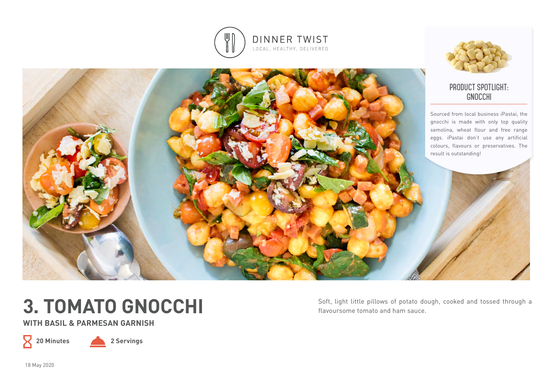



## **product spotlight: gnocchi**

Sourced from local business iPastai, the gnocchi is made with only top quality semolina, wheat flour and free range eggs. iPastai don't use any artificial colours, flavours or preservatives. The result is outstanding!



**WITH BASIL & PARMESAN GARNISH** 



**20 Minutes 2 Servings**

Soft, light little pillows of potato dough, cooked and tossed through a flavoursome tomato and ham sauce.